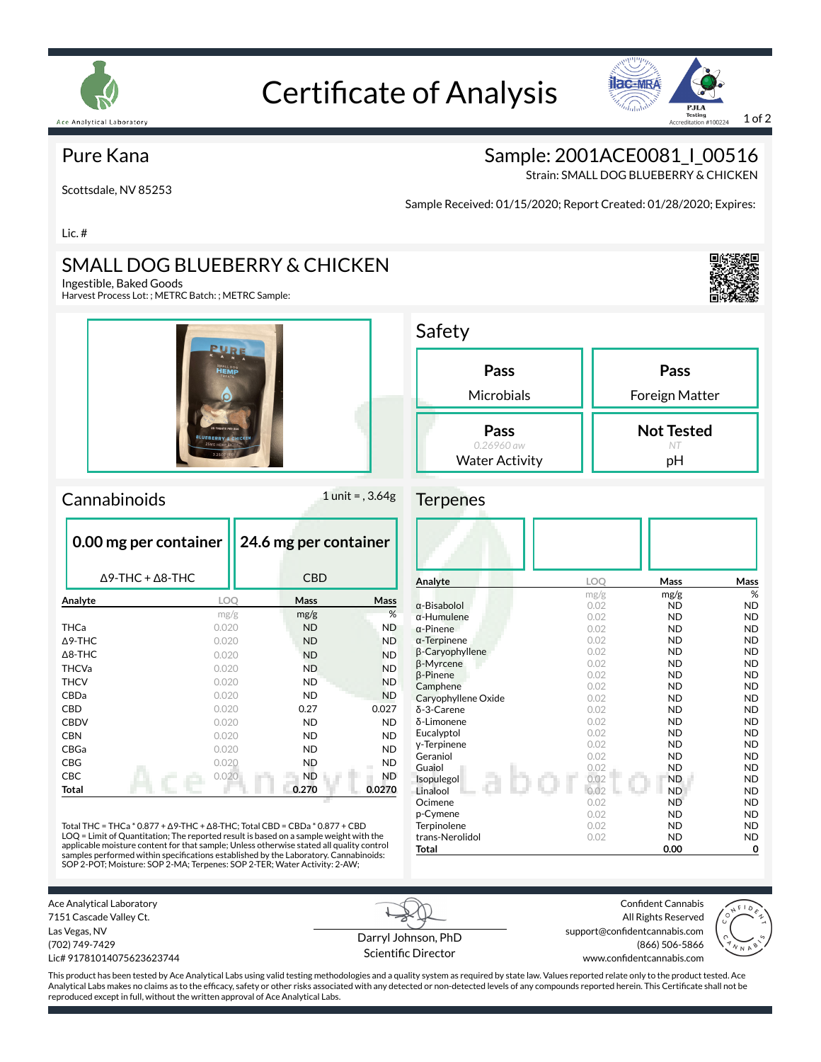

# Certificate of Analysis



### Pure Kana

Scottsdale, NV 85253

Sample: 2001ACE0081\_I\_00516

Strain: SMALL DOG BLUEBERRY & CHICKEN

Sample Received: 01/15/2020; Report Created: 01/28/2020; Expires:

Lic. #

### SMALL DOG BLUEBERRY & CHICKEN

Ingestible, Baked Goods

Harvest Process Lot: ; METRC Batch: ; METRC Sample:



#### Cannabinoids 1 unit = , 3.64g

|                   | 0.00 mg per container           | 24.6 mg per container |           |  |  |
|-------------------|---------------------------------|-----------------------|-----------|--|--|
|                   | $\Delta$ 9-THC + $\Delta$ 8-THC | <b>CBD</b>            |           |  |  |
| Analyte           | <b>LOO</b>                      | Mass                  | Mass      |  |  |
|                   | mg/g                            | mg/g                  | %         |  |  |
| <b>THCa</b>       | 0.020                           | <b>ND</b>             | <b>ND</b> |  |  |
| $\triangle$ 9-THC | 0.020                           | <b>ND</b>             | <b>ND</b> |  |  |
| $\Delta$ 8-THC    | 0.020                           | <b>ND</b>             | <b>ND</b> |  |  |
| <b>THCVa</b>      | 0.020                           | <b>ND</b>             | <b>ND</b> |  |  |
| <b>THCV</b>       | 0.020                           | <b>ND</b>             | <b>ND</b> |  |  |
| CBDa              | 0.020                           | <b>ND</b>             | <b>ND</b> |  |  |
| CBD               | 0.020                           | 0.27                  | 0.027     |  |  |
| <b>CBDV</b>       | 0.020                           | <b>ND</b>             | <b>ND</b> |  |  |
| <b>CBN</b>        | 0.020                           | ND.                   | <b>ND</b> |  |  |
| CBGa              | 0.020                           | ND.                   | ND.       |  |  |
| CBG               | 0.020                           | <b>ND</b>             | <b>ND</b> |  |  |
| CBC               | 0.020                           | <b>ND</b>             | <b>ND</b> |  |  |
| <b>Total</b>      |                                 | 0.270                 | 0.0270    |  |  |

Total THC = THCa \* 0.877 + ∆9-THC + ∆8-THC; Total CBD = CBDa \* 0.877 + CBD LOQ = Limit of Quantitation; The reported result is based on a sample weight with the applicable moisture content for that sample; Unless otherwise stated all quality control<br>samples performed within specifications established by the Laboratory. Cannabinoids:<br>SOP 2-POT; Moisture: SOP 2-MA; Terpenes: SOP 2-T

| Pass                  | Pass              |
|-----------------------|-------------------|
| Microbials            | Foreign Matter    |
|                       |                   |
| Pass                  | <b>Not Tested</b> |
| $0.26960$ aw          | NT                |
| <b>Water Activity</b> | pН                |

#### **Terpenes**

| Analyte             | <b>LOO</b> | Mass      | Mass      |
|---------------------|------------|-----------|-----------|
|                     | mg/g       | mg/g      | %         |
| $\alpha$ -Bisabolol | 0.02       | <b>ND</b> | <b>ND</b> |
| $\alpha$ -Humulene  | 0.02       | <b>ND</b> | <b>ND</b> |
| $\alpha$ -Pinene    | 0.02       | <b>ND</b> | <b>ND</b> |
| $\alpha$ -Terpinene | 0.02       | <b>ND</b> | <b>ND</b> |
| β-Caryophyllene     | 0.02       | <b>ND</b> | <b>ND</b> |
| β-Myrcene           | 0.02       | <b>ND</b> | <b>ND</b> |
| $\beta$ -Pinene     | 0.02       | <b>ND</b> | <b>ND</b> |
| Camphene            | 0.02       | <b>ND</b> | <b>ND</b> |
| Caryophyllene Oxide | 0.02       | <b>ND</b> | <b>ND</b> |
| δ-3-Carene          | 0.02       | <b>ND</b> | <b>ND</b> |
| δ-Limonene          | 0.02       | <b>ND</b> | <b>ND</b> |
| Eucalyptol          | 0.02       | <b>ND</b> | <b>ND</b> |
| y-Terpinene         | 0.02       | <b>ND</b> | <b>ND</b> |
| Geraniol            | 0.02       | <b>ND</b> | <b>ND</b> |
| Guaiol              | 0.02       | <b>ND</b> | <b>ND</b> |
| Isopulegol          | 0.02       | <b>ND</b> | <b>ND</b> |
| Linalool            | 0.02       | <b>ND</b> | <b>ND</b> |
| Ocimene             | 0.02       | <b>ND</b> | <b>ND</b> |
| p-Cymene            | 0.02       | <b>ND</b> | <b>ND</b> |
| Terpinolene         | 0.02       | <b>ND</b> | <b>ND</b> |
| trans-Nerolidol     | 0.02       | <b>ND</b> | <b>ND</b> |
| Total               |            | 0.00      | 0         |

Ace Analytical Laboratory 7151 Cascade Valley Ct. Las Vegas, NV (702) 749-7429 Lic# 91781014075623623744

Darryl Johnson, PhD Scientific Director

Confident Cannabis All Rights Reserved support@confidentcannabis.com (866) 506-5866 www.confidentcannabis.com



This product has been tested by Ace Analytical Labs using valid testing methodologies and a quality system as required by state law. Values reported relate only to the product tested. Ace Analytical Labs makes no claims as to the efficacy, safety or other risks associated with any detected or non-detected levels of any compounds reported herein. This Certificate shall not be reproduced except in full, without the written approval of Ace Analytical Labs.